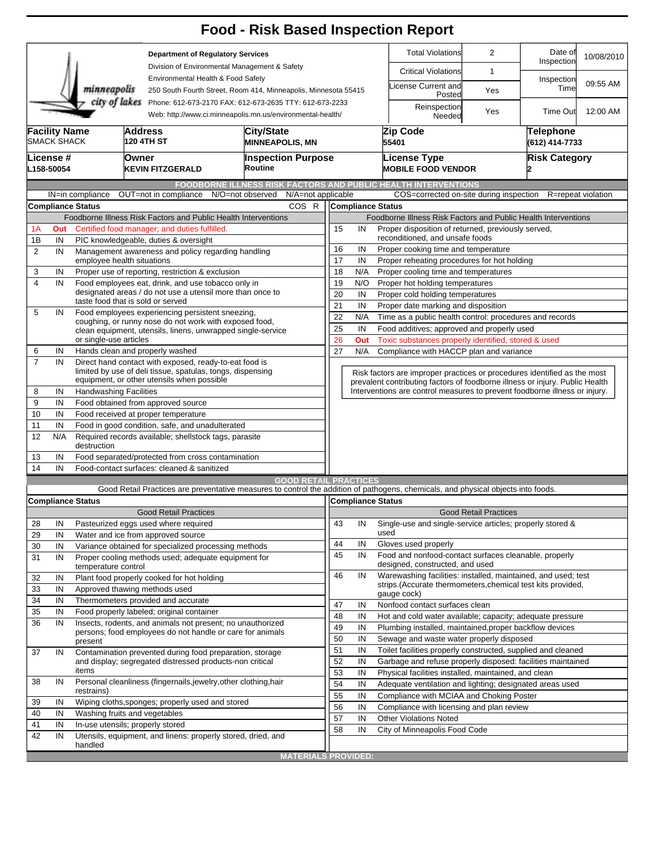|                                                                                                                                     |                                                          |                                                                                                                         |                                                                                                                      | <b>Food - Risk Based Inspection Report</b>                                                                                                                        |                                                                            |                                                                                                             |                                                                                                                               |                              |                       |                        |  |  |  |
|-------------------------------------------------------------------------------------------------------------------------------------|----------------------------------------------------------|-------------------------------------------------------------------------------------------------------------------------|----------------------------------------------------------------------------------------------------------------------|-------------------------------------------------------------------------------------------------------------------------------------------------------------------|----------------------------------------------------------------------------|-------------------------------------------------------------------------------------------------------------|-------------------------------------------------------------------------------------------------------------------------------|------------------------------|-----------------------|------------------------|--|--|--|
|                                                                                                                                     |                                                          |                                                                                                                         |                                                                                                                      | <b>Department of Regulatory Services</b><br>Division of Environmental Management & Safety<br>Environmental Health & Food Safety                                   |                                                                            |                                                                                                             | <b>Total Violations</b>                                                                                                       | $\overline{2}$               | Date of<br>Inspection | 10/08/2010<br>09:55 AM |  |  |  |
|                                                                                                                                     |                                                          |                                                                                                                         |                                                                                                                      |                                                                                                                                                                   |                                                                            |                                                                                                             | <b>Critical Violations</b>                                                                                                    | 1                            | Inspection<br>Time    |                        |  |  |  |
|                                                                                                                                     |                                                          | minneapolis                                                                                                             |                                                                                                                      |                                                                                                                                                                   | 250 South Fourth Street, Room 414, Minneapolis, Minnesota 55415            |                                                                                                             | License Current and<br>Posted                                                                                                 | Yes                          |                       |                        |  |  |  |
| city of lakes Phone: 612-673-2170 FAX: 612-673-2635 TTY: 612-673-2233<br>Web: http://www.ci.minneapolis.mn.us/environmental-health/ |                                                          |                                                                                                                         |                                                                                                                      |                                                                                                                                                                   |                                                                            |                                                                                                             | Reinspection<br>Needed                                                                                                        | Yes                          | <b>Time Out</b>       | 12:00 AM               |  |  |  |
| <b>Facility Name</b>                                                                                                                | SMACK SHACK                                              |                                                                                                                         | <b>Address</b><br><b>120 4TH ST</b>                                                                                  | <b>City/State</b><br><b>MINNEAPOLIS, MN</b>                                                                                                                       | <b>Inspection Purpose</b><br>Routine                                       |                                                                                                             | Zip Code<br>55401                                                                                                             |                              | <b>Telephone</b>      | (612) 414-7733         |  |  |  |
|                                                                                                                                     | lLicense #<br>L158-50054                                 |                                                                                                                         | lOwner<br><b>KEVIN FITZGERALD</b>                                                                                    |                                                                                                                                                                   |                                                                            |                                                                                                             | <b>License Type</b><br><b>MOBILE FOOD VENDOR</b>                                                                              |                              | <b>Risk Category</b>  |                        |  |  |  |
|                                                                                                                                     |                                                          |                                                                                                                         |                                                                                                                      | <b>FOODBORNE ILLNESS RISK FACTORS AND PUBLIC HEALTH INTERVENTIONS</b>                                                                                             |                                                                            |                                                                                                             |                                                                                                                               |                              |                       |                        |  |  |  |
|                                                                                                                                     |                                                          | IN=in compliance                                                                                                        | OUT=not in compliance                                                                                                | N/O=not observed<br>N/A=not applicable                                                                                                                            |                                                                            |                                                                                                             | COS=corrected on-site during inspection                                                                                       |                              |                       | R=repeat violation     |  |  |  |
|                                                                                                                                     |                                                          | Compliance Status                                                                                                       |                                                                                                                      | COS R                                                                                                                                                             |                                                                            |                                                                                                             | <b>Compliance Status</b>                                                                                                      |                              |                       |                        |  |  |  |
| 1A                                                                                                                                  | Out                                                      |                                                                                                                         | Foodborne Illness Risk Factors and Public Health Interventions                                                       |                                                                                                                                                                   | Foodborne Illness Risk Factors and Public Health Interventions<br>15<br>IN |                                                                                                             |                                                                                                                               |                              |                       |                        |  |  |  |
| 1B                                                                                                                                  | IN                                                       | Certified food manager: and duties fulfilled.<br>PIC knowledgeable, duties & oversight                                  |                                                                                                                      |                                                                                                                                                                   |                                                                            | Proper disposition of returned, previously served,<br>reconditioned, and unsafe foods                       |                                                                                                                               |                              |                       |                        |  |  |  |
| $\overline{2}$                                                                                                                      | IN<br>Management awareness and policy regarding handling |                                                                                                                         |                                                                                                                      |                                                                                                                                                                   | 16<br>IN<br>Proper cooking time and temperature                            |                                                                                                             |                                                                                                                               |                              |                       |                        |  |  |  |
|                                                                                                                                     |                                                          |                                                                                                                         | employee health situations                                                                                           | 17<br>IN<br>Proper reheating procedures for hot holding                                                                                                           |                                                                            |                                                                                                             |                                                                                                                               |                              |                       |                        |  |  |  |
| 3                                                                                                                                   | IN                                                       |                                                                                                                         | Proper use of reporting, restriction & exclusion                                                                     |                                                                                                                                                                   | 18<br>N/A<br>Proper cooling time and temperatures                          |                                                                                                             |                                                                                                                               |                              |                       |                        |  |  |  |
| 4                                                                                                                                   | IN                                                       | Food employees eat, drink, and use tobacco only in<br>designated areas / do not use a utensil more than once to         |                                                                                                                      |                                                                                                                                                                   |                                                                            | 19<br>N/O<br>Proper hot holding temperatures                                                                |                                                                                                                               |                              |                       |                        |  |  |  |
|                                                                                                                                     |                                                          |                                                                                                                         | taste food that is sold or served                                                                                    |                                                                                                                                                                   | 20<br>IN<br>Proper cold holding temperatures                               |                                                                                                             |                                                                                                                               |                              |                       |                        |  |  |  |
| 5                                                                                                                                   | IN                                                       |                                                                                                                         | Food employees experiencing persistent sneezing,                                                                     | 21<br>IN<br>Proper date marking and disposition                                                                                                                   |                                                                            |                                                                                                             |                                                                                                                               |                              |                       |                        |  |  |  |
|                                                                                                                                     |                                                          | coughing, or runny nose do not work with exposed food,                                                                  |                                                                                                                      |                                                                                                                                                                   |                                                                            | 22<br>Time as a public health control: procedures and records<br>N/A                                        |                                                                                                                               |                              |                       |                        |  |  |  |
|                                                                                                                                     |                                                          |                                                                                                                         | clean equipment, utensils, linens, unwrapped single-service                                                          |                                                                                                                                                                   | 25                                                                         | IN                                                                                                          | Food additives; approved and properly used                                                                                    |                              |                       |                        |  |  |  |
|                                                                                                                                     |                                                          | or single-use articles                                                                                                  |                                                                                                                      |                                                                                                                                                                   |                                                                            | Toxic substances properly identified, stored & used<br>26<br>Out<br>Compliance with HACCP plan and variance |                                                                                                                               |                              |                       |                        |  |  |  |
| 6<br>$\overline{7}$                                                                                                                 | IN                                                       |                                                                                                                         | Hands clean and properly washed<br>Direct hand contact with exposed, ready-to-eat food is                            |                                                                                                                                                                   | 27                                                                         | N/A                                                                                                         |                                                                                                                               |                              |                       |                        |  |  |  |
|                                                                                                                                     | IN                                                       |                                                                                                                         | limited by use of deli tissue, spatulas, tongs, dispensing                                                           |                                                                                                                                                                   |                                                                            |                                                                                                             | Risk factors are improper practices or procedures identified as the most                                                      |                              |                       |                        |  |  |  |
|                                                                                                                                     |                                                          |                                                                                                                         | equipment, or other utensils when possible                                                                           |                                                                                                                                                                   |                                                                            |                                                                                                             | prevalent contributing factors of foodborne illness or injury. Public Health                                                  |                              |                       |                        |  |  |  |
| 8                                                                                                                                   | IN                                                       | <b>Handwashing Facilities</b>                                                                                           |                                                                                                                      |                                                                                                                                                                   |                                                                            |                                                                                                             | Interventions are control measures to prevent foodborne illness or injury.                                                    |                              |                       |                        |  |  |  |
| 9                                                                                                                                   | IN                                                       |                                                                                                                         | Food obtained from approved source                                                                                   |                                                                                                                                                                   |                                                                            |                                                                                                             |                                                                                                                               |                              |                       |                        |  |  |  |
| 10                                                                                                                                  | IN                                                       | Food received at proper temperature                                                                                     |                                                                                                                      |                                                                                                                                                                   |                                                                            |                                                                                                             |                                                                                                                               |                              |                       |                        |  |  |  |
| 11                                                                                                                                  | IN                                                       | Food in good condition, safe, and unadulterated                                                                         |                                                                                                                      |                                                                                                                                                                   |                                                                            |                                                                                                             |                                                                                                                               |                              |                       |                        |  |  |  |
| 12                                                                                                                                  | N/A                                                      | Required records available; shellstock tags, parasite<br>destruction                                                    |                                                                                                                      |                                                                                                                                                                   |                                                                            |                                                                                                             |                                                                                                                               |                              |                       |                        |  |  |  |
| 13                                                                                                                                  | Food separated/protected from cross contamination<br>IN  |                                                                                                                         |                                                                                                                      |                                                                                                                                                                   |                                                                            |                                                                                                             |                                                                                                                               |                              |                       |                        |  |  |  |
| 14                                                                                                                                  | IN                                                       |                                                                                                                         | Food-contact surfaces: cleaned & sanitized                                                                           |                                                                                                                                                                   |                                                                            |                                                                                                             |                                                                                                                               |                              |                       |                        |  |  |  |
|                                                                                                                                     |                                                          |                                                                                                                         |                                                                                                                      | <b>GOOD RETAIL PRACTICES</b><br>Good Retail Practices are preventative measures to control the addition of pathogens, chemicals, and physical objects into foods. |                                                                            |                                                                                                             |                                                                                                                               |                              |                       |                        |  |  |  |
|                                                                                                                                     |                                                          | <b>Compliance Status</b>                                                                                                |                                                                                                                      |                                                                                                                                                                   |                                                                            |                                                                                                             | Compliance Status                                                                                                             |                              |                       |                        |  |  |  |
|                                                                                                                                     |                                                          |                                                                                                                         | <b>Good Retail Practices</b>                                                                                         |                                                                                                                                                                   |                                                                            |                                                                                                             |                                                                                                                               | <b>Good Retail Practices</b> |                       |                        |  |  |  |
| 28                                                                                                                                  | IN                                                       |                                                                                                                         | Pasteurized eggs used where required                                                                                 |                                                                                                                                                                   | 43                                                                         | IN                                                                                                          | Single-use and single-service articles; properly stored &                                                                     |                              |                       |                        |  |  |  |
| 29                                                                                                                                  | IN                                                       |                                                                                                                         | Water and ice from approved source                                                                                   |                                                                                                                                                                   |                                                                            |                                                                                                             | used                                                                                                                          |                              |                       |                        |  |  |  |
| 30                                                                                                                                  | IN                                                       |                                                                                                                         | Variance obtained for specialized processing methods                                                                 |                                                                                                                                                                   | 44                                                                         | IN                                                                                                          | Gloves used properly                                                                                                          |                              |                       |                        |  |  |  |
| 31                                                                                                                                  | IN                                                       | temperature control                                                                                                     | Proper cooling methods used; adequate equipment for                                                                  |                                                                                                                                                                   | 45                                                                         | IN                                                                                                          | Food and nonfood-contact surfaces cleanable, properly<br>designed, constructed, and used                                      |                              |                       |                        |  |  |  |
| 32                                                                                                                                  | IN                                                       |                                                                                                                         | Plant food properly cooked for hot holding                                                                           |                                                                                                                                                                   | 46                                                                         | IN                                                                                                          | Warewashing facilities: installed, maintained, and used; test<br>strips. (Accurate thermometers, chemical test kits provided, |                              |                       |                        |  |  |  |
| 33                                                                                                                                  | IN                                                       |                                                                                                                         | Approved thawing methods used                                                                                        |                                                                                                                                                                   |                                                                            |                                                                                                             | gauge cock)                                                                                                                   |                              |                       |                        |  |  |  |
| 34                                                                                                                                  | IN                                                       |                                                                                                                         | Thermometers provided and accurate                                                                                   |                                                                                                                                                                   | 47                                                                         | IN                                                                                                          | Nonfood contact surfaces clean                                                                                                |                              |                       |                        |  |  |  |
| 35                                                                                                                                  | IN                                                       |                                                                                                                         | Food properly labeled; original container                                                                            |                                                                                                                                                                   | 48                                                                         | IN                                                                                                          | Hot and cold water available; capacity; adequate pressure                                                                     |                              |                       |                        |  |  |  |
| 36                                                                                                                                  | IN                                                       | Insects, rodents, and animals not present; no unauthorized<br>persons; food employees do not handle or care for animals |                                                                                                                      |                                                                                                                                                                   | 49                                                                         | IN                                                                                                          | Plumbing installed, maintained, proper backflow devices                                                                       |                              |                       |                        |  |  |  |
|                                                                                                                                     |                                                          | present                                                                                                                 |                                                                                                                      |                                                                                                                                                                   | 50                                                                         | IN                                                                                                          | Sewage and waste water properly disposed                                                                                      |                              |                       |                        |  |  |  |
| 37                                                                                                                                  | IN                                                       |                                                                                                                         |                                                                                                                      |                                                                                                                                                                   | 51                                                                         | IN                                                                                                          | Toilet facilities properly constructed, supplied and cleaned                                                                  |                              |                       |                        |  |  |  |
|                                                                                                                                     |                                                          |                                                                                                                         | Contamination prevented during food preparation, storage<br>and display; segregated distressed products-non critical |                                                                                                                                                                   |                                                                            |                                                                                                             | Garbage and refuse properly disposed: facilities maintained                                                                   |                              |                       |                        |  |  |  |
|                                                                                                                                     |                                                          | items                                                                                                                   |                                                                                                                      |                                                                                                                                                                   |                                                                            | IN                                                                                                          | Physical facilities installed, maintained, and clean                                                                          |                              |                       |                        |  |  |  |
| 38                                                                                                                                  | IN                                                       |                                                                                                                         | Personal cleanliness (fingernails, jewelry, other clothing, hair                                                     |                                                                                                                                                                   | 54                                                                         | IN                                                                                                          | Adequate ventilation and lighting; designated areas used                                                                      |                              |                       |                        |  |  |  |
| 39                                                                                                                                  | IN                                                       | restrains)                                                                                                              | Wiping cloths, sponges; properly used and stored                                                                     |                                                                                                                                                                   | 55                                                                         | IN                                                                                                          | Compliance with MCIAA and Choking Poster                                                                                      |                              |                       |                        |  |  |  |
| 40                                                                                                                                  | IN                                                       |                                                                                                                         | Washing fruits and vegetables                                                                                        |                                                                                                                                                                   | 56                                                                         | IN                                                                                                          | Compliance with licensing and plan review                                                                                     |                              |                       |                        |  |  |  |
| 41                                                                                                                                  | IN                                                       |                                                                                                                         | In-use utensils; properly stored                                                                                     |                                                                                                                                                                   | 57                                                                         | IN                                                                                                          | <b>Other Violations Noted</b>                                                                                                 |                              |                       |                        |  |  |  |
| 42                                                                                                                                  | IN                                                       |                                                                                                                         | Utensils, equipment, and linens: properly stored, dried, and                                                         |                                                                                                                                                                   | 58                                                                         | IN                                                                                                          | City of Minneapolis Food Code                                                                                                 |                              |                       |                        |  |  |  |
|                                                                                                                                     |                                                          | handled                                                                                                                 |                                                                                                                      |                                                                                                                                                                   |                                                                            |                                                                                                             |                                                                                                                               |                              |                       |                        |  |  |  |
|                                                                                                                                     |                                                          |                                                                                                                         |                                                                                                                      | <b>MATERIALS PROVIDED:</b>                                                                                                                                        |                                                                            |                                                                                                             |                                                                                                                               |                              |                       |                        |  |  |  |